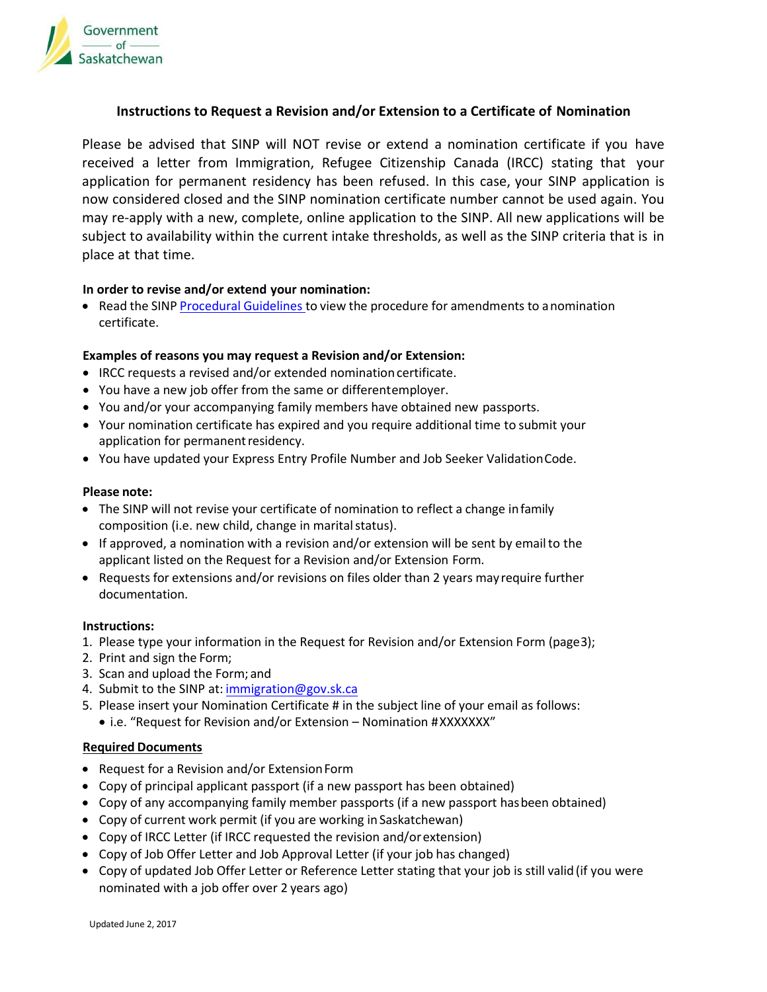

## **Instructions to Request a Revision and/or Extension to a Certificate of Nomination**

Please be advised that SINP will NOT revise or extend a nomination certificate if you have received a letter from Immigration, Refugee Citizenship Canada (IRCC) stating that your application for permanent residency has been refused. In this case, your SINP application is now considered closed and the SINP nomination certificate number cannot be used again. You may re-apply with a new, complete, online application to the SINP. All new applications will be subject to availability within the current intake thresholds, as well as the SINP criteria that is in place at that time.

#### **In order to revise and/or extend your nomination:**

• Read the SINP [Procedural](https://www.saskatchewan.ca/residents/moving-to-saskatchewan/immigrating-to-saskatchewan/saskatchewan-immigrant-nominee-program/sinp-procedures-and-guidelines) Guidelines to view the procedure for amendments to a nomination certificate.

## **Examples of reasons you may request a Revision and/or Extension:**

- IRCC requests a revised and/or extended nomination certificate.
- You have a new job offer from the same or differentemployer.
- You and/or your accompanying family members have obtained new passports.
- Your nomination certificate has expired and you require additional time to submit your application for permanent residency.
- You have updated your Express Entry Profile Number and Job Seeker ValidationCode.

## **Please note:**

- The SINP will not revise your certificate of nomination to reflect a change infamily composition (i.e. new child, change in marital status).
- If approved, a nomination with a revision and/or extension will be sent by emailto the applicant listed on the Request for a Revision and/or Extension Form.
- Requests for extensions and/or revisions on files older than 2 years mayrequire further documentation.

#### **Instructions:**

- 1. Please type your information in the Request for Revision and/or Extension Form (page3);
- 2. Print and sign the Form;
- 3. Scan and u[pload the Form;](mailto:immigration.documents@gov.sk.ca) and
- 4. Submit to the SINP at: i[mmigration@gov.sk.ca](mailto:immigration.documents@gov.sk.ca)
- 5. Please insert your Nomination Certificate # in the subject line of your email as follows:
	- i.e. "Request for Revision and/or Extension Nomination #XXXXXXX"

#### **Required Documents**

- Request for a Revision and/or ExtensionForm
- Copy of principal applicant passport (if a new passport has been obtained)
- Copy of any accompanying family member passports (if a new passport hasbeen obtained)
- Copy of current work permit (if you are working in Saskatchewan)
- Copy of IRCC Letter (if IRCC requested the revision and/orextension)
- Copy of Job Offer Letter and Job Approval Letter (if your job has changed)
- Copy of updated Job Offer Letter or Reference Letter stating that your job is still valid (if you were nominated with a job offer over 2 years ago)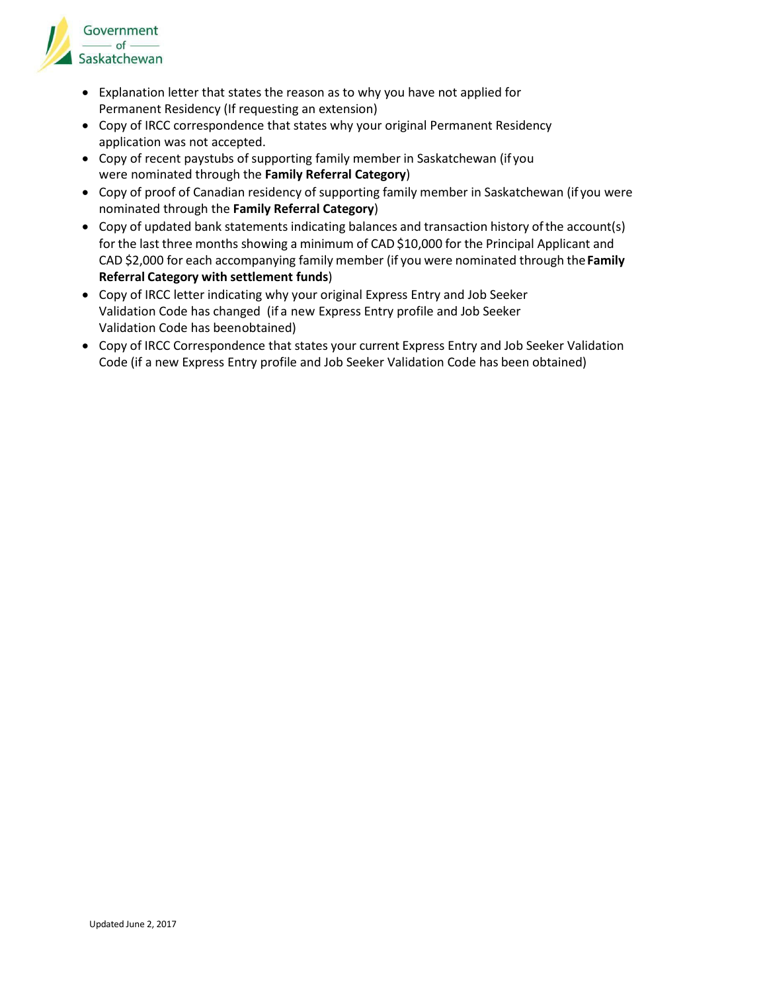

- Explanation letter that states the reason as to why you have not applied for Permanent Residency (If requesting an extension)
- Copy of IRCC correspondence that states why your original Permanent Residency application was not accepted.
- Copy of recent paystubs of supporting family member in Saskatchewan (if you were nominated through the **Family Referral Category**)
- Copy of proof of Canadian residency of supporting family member in Saskatchewan (if you were nominated through the **Family Referral Category**)
- Copy of updated bank statements indicating balances and transaction history ofthe account(s) for the last three months showing a minimum of CAD \$10,000 for the Principal Applicant and CAD \$2,000 for each accompanying family member (if you were nominated through the**Family Referral Category with settlement funds**)
- Copy of IRCC letter indicating why your original Express Entry and Job Seeker Validation Code has changed (if a new Express Entry profile and Job Seeker Validation Code has beenobtained)
- Copy of IRCC Correspondence that states your current Express Entry and Job Seeker Validation Code (if a new Express Entry profile and Job Seeker Validation Code has been obtained)